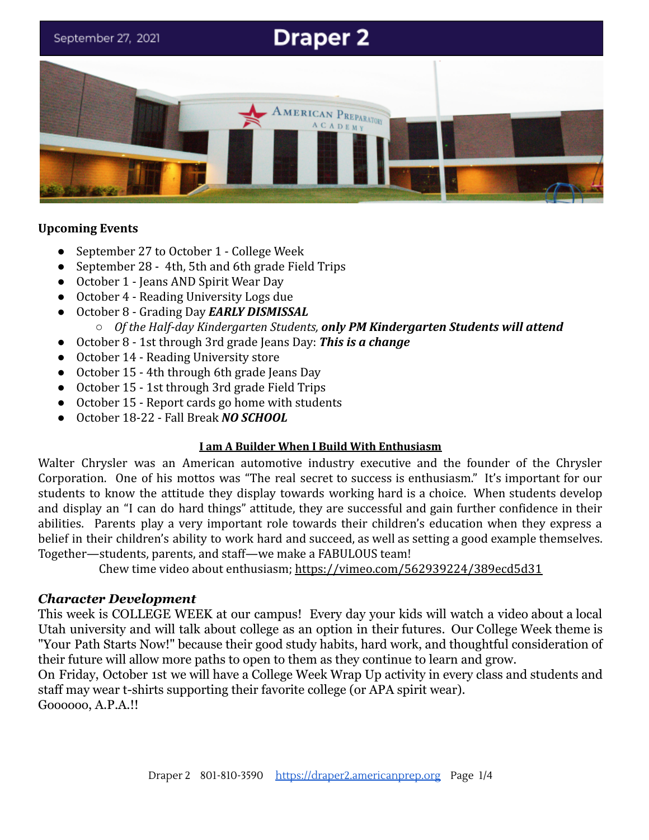# **Draper 2** September 27, 2021 AMERICAN PREPARATORY **ACADEMY**

#### **Upcoming Events**

- September 27 to October 1 College Week
- September 28 4th, 5th and 6th grade Field Trips
- October 1 Jeans AND Spirit Wear Day
- October 4 Reading University Logs due
- October 8 Grading Day *EARLY DISMISSAL* ○ *Of the Half-day Kindergarten Students, only PM Kindergarten Students will attend*
- October 8 1st through 3rd grade Jeans Day: *This is a change*
- October 14 Reading University store
- October 15 4th through 6th grade Jeans Day
- October 15 1st through 3rd grade Field Trips
- October 15 Report cards go home with students
- October 18-22 Fall Break *NO SCHOOL*

#### **I am A Builder When I Build With Enthusiasm**

Walter Chrysler was an American automotive industry executive and the founder of the Chrysler Corporation. One of his mottos was "The real secret to success is enthusiasm." It's important for our students to know the attitude they display towards working hard is a choice. When students develop and display an "I can do hard things" attitude, they are successful and gain further confidence in their abilities. Parents play a very important role towards their children's education when they express a belief in their children's ability to work hard and succeed, as well as setting a good example themselves. Together—students, parents, and staff—we make a FABULOUS team!

Chew time video about enthusiasm; <https://vimeo.com/562939224/389ecd5d31>

#### *Character Development*

This week is COLLEGE WEEK at our campus! Every day your kids will watch a video about a local Utah university and will talk about college as an option in their futures. Our College Week theme is "Your Path Starts Now!" because their good study habits, hard work, and thoughtful consideration of their future will allow more paths to open to them as they continue to learn and grow.

On Friday, October 1st we will have a College Week Wrap Up activity in every class and students and staff may wear t-shirts supporting their favorite college (or APA spirit wear).

Goooooo, A.P.A.!!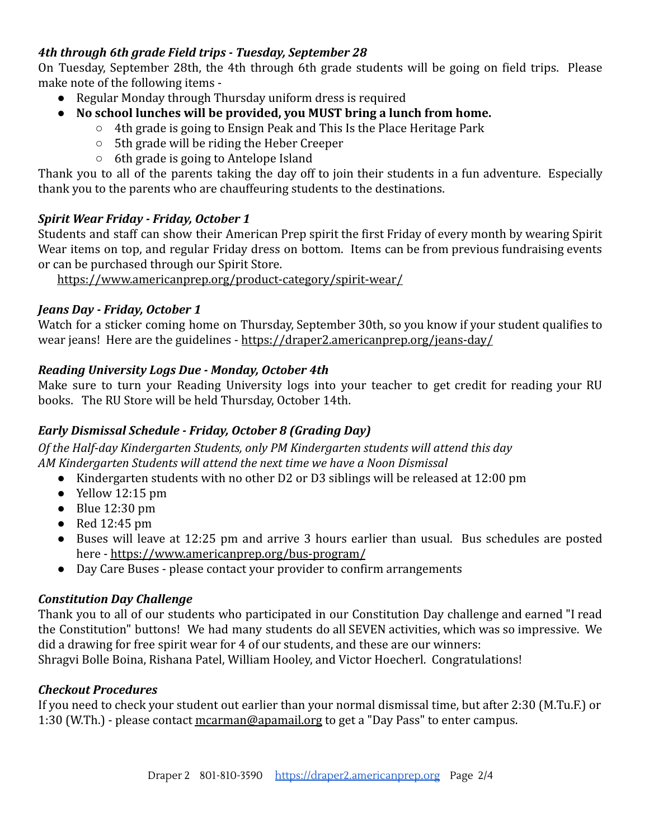# *4th through 6th grade Field trips - Tuesday, September 28*

On Tuesday, September 28th, the 4th through 6th grade students will be going on field trips. Please make note of the following items -

- Regular Monday through Thursday uniform dress is required
- **● No school lunches will be provided, you MUST bring a lunch from home.**
	- 4th grade is going to Ensign Peak and This Is the Place Heritage Park
	- 5th grade will be riding the Heber Creeper
	- 6th grade is going to Antelope Island

Thank you to all of the parents taking the day off to join their students in a fun adventure. Especially thank you to the parents who are chauffeuring students to the destinations.

# *Spirit Wear Friday - Friday, October 1*

Students and staff can show their American Prep spirit the first Friday of every month by wearing Spirit Wear items on top, and regular Friday dress on bottom. Items can be from previous fundraising events or can be purchased through our Spirit Store.

<https://www.americanprep.org/product-category/spirit-wear/>

# *Jeans Day - Friday, October 1*

Watch for a sticker coming home on Thursday, September 30th, so you know if your student qualifies to wear jeans! Here are the guidelines - <https://draper2.americanprep.org/jeans-day/>

# *Reading University Logs Due - Monday, October 4th*

Make sure to turn your Reading University logs into your teacher to get credit for reading your RU books. The RU Store will be held Thursday, October 14th.

# *Early Dismissal Schedule - Friday, October 8 (Grading Day)*

*Of the Half-day Kindergarten Students, only PM Kindergarten students will attend this day AM Kindergarten Students will attend the next time we have a Noon Dismissal*

- Kindergarten students with no other D2 or D3 siblings will be released at 12:00 pm
- $\bullet$  Yellow 12:15 pm
- $\bullet$  Blue 12:30 pm
- $\bullet$  Red 12:45 pm
- Buses will leave at 12:25 pm and arrive 3 hours earlier than usual. Bus schedules are posted here - <https://www.americanprep.org/bus-program/>
- Day Care Buses please contact your provider to confirm arrangements

# *Constitution Day Challenge*

Thank you to all of our students who participated in our Constitution Day challenge and earned "I read the Constitution" buttons! We had many students do all SEVEN activities, which was so impressive. We did a drawing for free spirit wear for 4 of our students, and these are our winners: Shragvi Bolle Boina, Rishana Patel, William Hooley, and Victor Hoecherl. Congratulations!

# *Checkout Procedures*

If you need to check your student out earlier than your normal dismissal time, but after 2:30 (M.Tu.F.) or 1:30 (W.Th.) - please contact [mcarman@apamail.org](mailto:mcarman@apamail.org) to get a "Day Pass" to enter campus.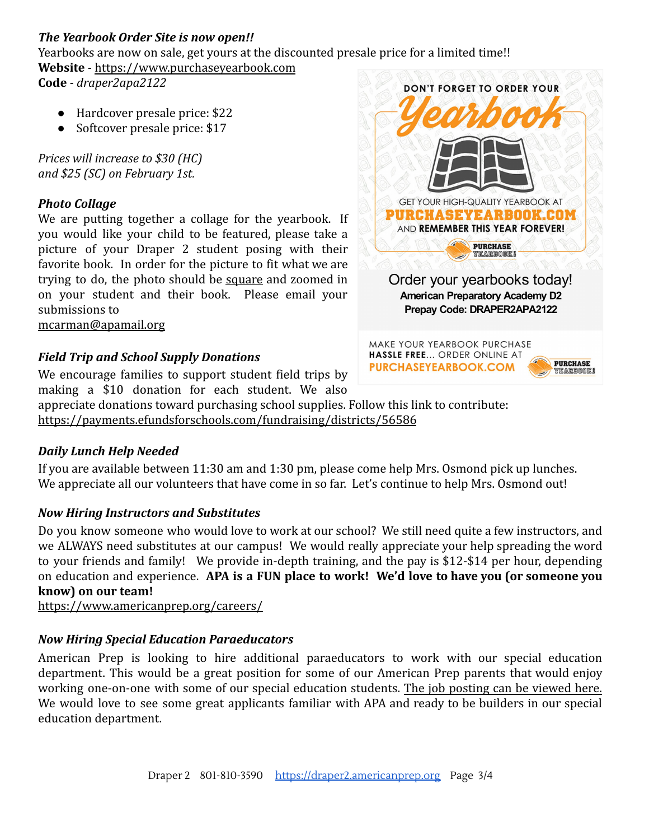# *The Yearbook Order Site is now open!!*

Yearbooks are now on sale, get yours at the discounted presale price for a limited time!! **Website** - [https://www.purchaseyearbook.com](https://www.purchaseyearbook.com/)

**Code** - *draper2apa2122*

- Hardcover presale price: \$22
- Softcover presale price: \$17

*Prices will increase to \$30 (HC) and \$25 (SC) on February 1st.*

#### *Photo Collage*

We are putting together a collage for the yearbook. If you would like your child to be featured, please take a picture of your Draper 2 student posing with their favorite book. In order for the picture to fit what we are trying to do, the photo should be square and zoomed in on your student and their book. Please email your submissions to

[mcarman@apamail.org](mailto:mcarman@apamail.org)

# *Field Trip and School Supply Donations*

We encourage families to support student field trips by making a \$10 donation for each student. We also

appreciate donations toward purchasing school supplies. Follow this link to contribute: <https://payments.efundsforschools.com/fundraising/districts/56586>

#### *Daily Lunch Help Needed*

If you are available between 11:30 am and 1:30 pm, please come help Mrs. Osmond pick up lunches. We appreciate all our volunteers that have come in so far. Let's continue to help Mrs. Osmond out!

# *Now Hiring Instructors and Substitutes*

Do you know someone who would love to work at our school? We still need quite a few instructors, and we ALWAYS need substitutes at our campus! We would really appreciate your help spreading the word to your friends and family! We provide in-depth training, and the pay is \$12-\$14 per hour, depending on education and experience. **APA is a FUN place to work! We'd love to have you (or someone you know) on our team!**

<https://www.americanprep.org/careers/>

# *Now Hiring Special Education Paraeducators*

American Prep is looking to hire additional paraeducators to work with our special education department. This would be a great position for some of our American Prep parents that would enjoy working one-on-one with some of our special education students. The job [posting](https://recruitingbypaycor.com/career/JobIntroduction.action?clientId=8a78826753d0044a0153d2e566b2004b&id=8a78879e7b7f6264017b848889486139&source=&lang=en) can be viewed here. We would love to see some great applicants familiar with APA and ready to be builders in our special education department.



MAKE YOUR YEARBOOK PURCHASE HASSLE FREE... ORDER ONLINE AT **PURCHASEYEARBOOK.COM**